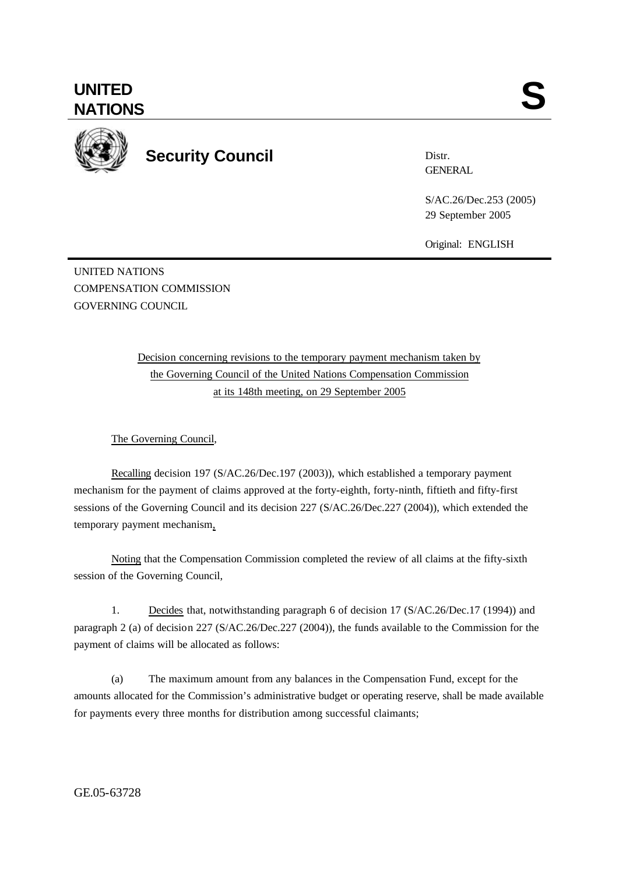

**Security Council**

Distr. **GENERAL** 

S/AC.26/Dec.253 (2005) 29 September 2005

Original: ENGLISH

UNITED NATIONS COMPENSATION COMMISSION GOVERNING COUNCIL

> Decision concerning revisions to the temporary payment mechanism taken by the Governing Council of the United Nations Compensation Commission at its 148th meeting, on 29 September 2005

The Governing Council,

Recalling decision 197 (S/AC.26/Dec.197 (2003)), which established a temporary payment mechanism for the payment of claims approved at the forty-eighth, forty-ninth, fiftieth and fifty-first sessions of the Governing Council and its decision 227 (S/AC.26/Dec.227 (2004)), which extended the temporary payment mechanism,

Noting that the Compensation Commission completed the review of all claims at the fifty-sixth session of the Governing Council,

1. Decides that, notwithstanding paragraph 6 of decision 17 (S/AC.26/Dec.17 (1994)) and paragraph 2 (a) of decision 227 (S/AC.26/Dec.227 (2004)), the funds available to the Commission for the payment of claims will be allocated as follows:

(a) The maximum amount from any balances in the Compensation Fund, except for the amounts allocated for the Commission's administrative budget or operating reserve, shall be made available for payments every three months for distribution among successful claimants;